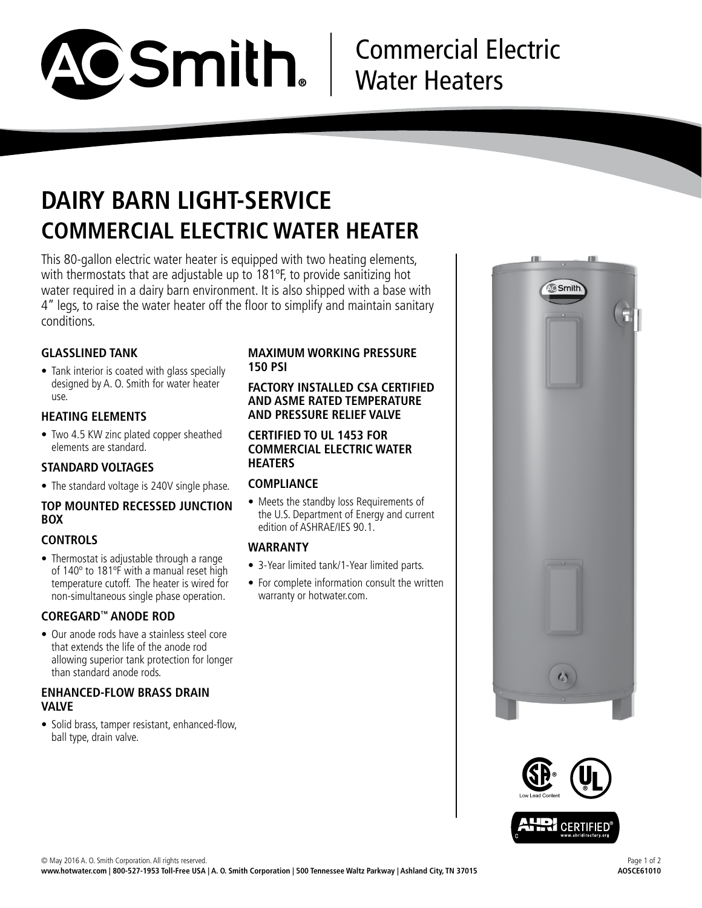

# Commercial Electric Water Heaters

## **DAIRY BARN LIGHT-SERVICE COMMERCIAL ELECTRIC WATER HEATER**

This 80-gallon electric water heater is equipped with two heating elements, with thermostats that are adjustable up to 181ºF, to provide sanitizing hot water required in a dairy barn environment. It is also shipped with a base with 4" legs, to raise the water heater off the floor to simplify and maintain sanitary conditions.

## **GLASSLINED TANK**

• Tank interior is coated with glass specially designed by A. O. Smith for water heater use.

## **HEATING ELEMENTS**

• Two 4.5 KW zinc plated copper sheathed elements are standard.

### **STANDARD VOLTAGES**

• The standard voltage is 240V single phase.

## **TOP MOUNTED RECESSED JUNCTION BOX**

### **CONTROLS**

• Thermostat is adjustable through a range of 140º to 181ºF with a manual reset high temperature cutoff. The heater is wired for non-simultaneous single phase operation.

### **COREGARD™ ANODE ROD**

• Our anode rods have a stainless steel core that extends the life of the anode rod allowing superior tank protection for longer than standard anode rods.

#### **ENHANCED-FLOW BRASS DRAIN VALVE**

• Solid brass, tamper resistant, enhanced-flow, ball type, drain valve.

## **MAXIMUM WORKING PRESSURE 150 PSI**

#### **FACTORY INSTALLED CSA CERTIFIED AND ASME RATED TEMPERATURE AND PRESSURE RELIEF VALVE**

#### **CERTIFIED TO UL 1453 FOR COMMERCIAL ELECTRIC WATER HEATERS**

## **COMPLIANCE**

• Meets the standby loss Requirements of the U.S. Department of Energy and current edition of ASHRAE/IES 90.1.

### **WARRANTY**

- 3-Year limited tank/1-Year limited parts.
- For complete information consult the written warranty or hotwater.com.